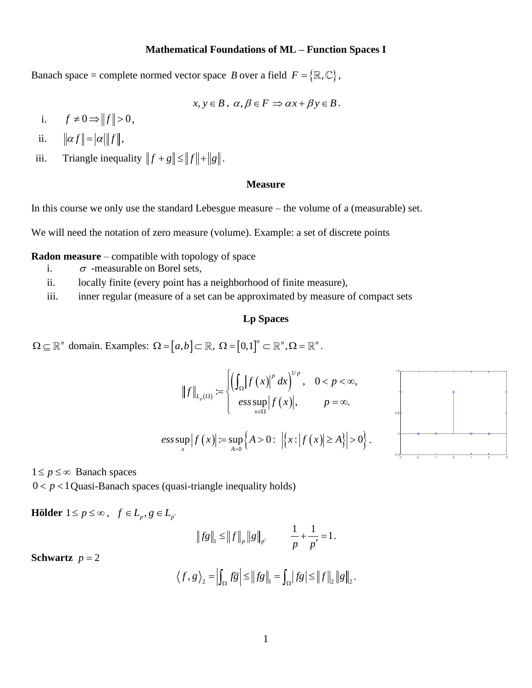## **Mathematical Foundations of ML – Function Spaces I**

Banach space = complete normed vector space B over a field  $F = \{ \mathbb{R}, \mathbb{C} \},$ 

$$
x, y \in B, \alpha, \beta \in F \Rightarrow \alpha x + \beta y \in B.
$$

- i.  $f \neq 0 \Rightarrow ||f|| > 0,$
- ii.  $\|\alpha f\| = |\alpha| \|f\|,$
- iii. Triangle inequality  $||f + g|| \le ||f|| + ||g||$ .

## **Measure**

In this course we only use the standard Lebesgue measure – the volume of a (measurable) set.

We will need the notation of zero measure (volume). Example: a set of discrete points

## **Radon measure** – compatible with topology of space

- i.  $\sigma$  -measurable on Borel sets,
- ii. locally finite (every point has a neighborhood of finite measure),
- iii. inner regular (measure of a set can be approximated by measure of compact sets

## **Lp Spaces**

 $\Omega \subseteq \mathbb{R}^n$  domain. Examples:  $\Omega = [a, b] \subset \mathbb{R}$ ,  $\Omega = [0,1]^n \subset \mathbb{R}^n$ ,  $\Omega = \mathbb{R}^n$ .

$$
||f||_{L_p(\Omega)} := \left\{ \left( \int_{\Omega} |f(x)|^p dx \right)^{1/p}, \quad 0 < p < \infty, \atop \text{ess sup } |f(x)|, \quad p = \infty. \right\}
$$
  

$$
\text{ess sup } |f(x)| := \sup_{A > 0} \left\{ A > 0 : \left| \left\{ x : |f(x)| \ge A \right\} \right| > 0 \right\}.
$$



 $1 \le p \le \infty$  Banach spaces

 $0 < p < 1$  Quasi-Banach spaces (quasi-triangle inequality holds)

**Hölder**  $1 \le p \le \infty$ ,  $f \in L_p$ ,  $g \in L_{p'}$ 

$$
||fg||_1 \le ||f||_p ||g||_{p'}
$$
  $\frac{1}{p} + \frac{1}{p'} = 1.$ 

**Schwartz**  $p = 2$ 

$$
\langle f, g \rangle_2 = \left| \int_{\Omega} f \overline{g} \right| \leq \left\| f g \right\|_1 = \int_{\Omega} |f g| \leq \left\| f \right\|_2 \left\| g \right\|_2.
$$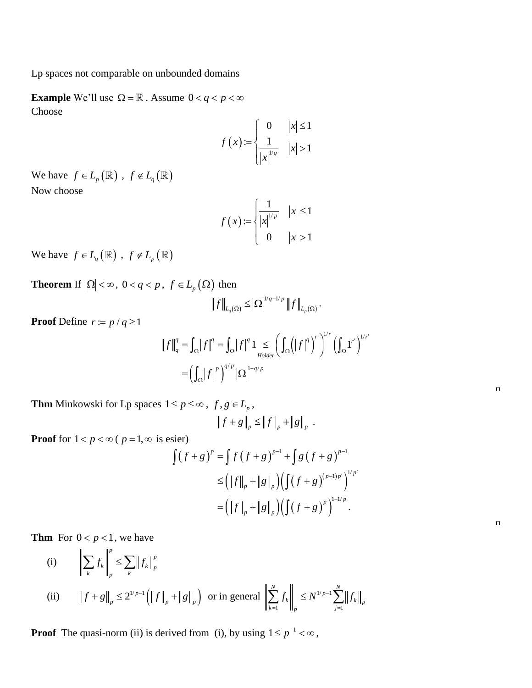Lp spaces not comparable on unbounded domains

**Example** We'll use  $\Omega = \mathbb{R}$ . Assume  $0 < q < p < \infty$ Choose

$$
f(x) := \begin{cases} 0 & |x| \le 1 \\ \frac{1}{|x|^{1/q}} & |x| > 1 \end{cases}
$$

We have  $f \in L_p(\mathbb{R})$ ,  $f \notin L_q(\mathbb{R})$ Now choose

$$
f(x) := \begin{cases} \frac{1}{|x|^{1/p}} & |x| \le 1\\ 0 & |x| > 1 \end{cases}
$$

We have  $f \in L_q(\mathbb{R})$ ,  $f \notin L_p(\mathbb{R})$ 

**Theorem** If  $|\Omega| < \infty$ ,  $0 < q < p$ ,  $f \in L_p(\Omega)$  then

$$
\left\|f\right\|_{L_{q}(\Omega)}\leq\left|\Omega\right|^{1/q-1/p}\left\|f\right\|_{L_{p}(\Omega)}.
$$

**Proof** Define  $r = p / q \ge 1$ 

$$
\|f\|_{q}^{q} = \int_{\Omega} |f|^{q} = \int_{\Omega} |f|^{q} 1 \leq \left( \int_{\Omega} (|f|^{q})^{r} \right)^{1/r}
$$

$$
= \left( \int_{\Omega} |f|^{p} \right)^{q/p} |\Omega|^{1-q/p}
$$

 $\Box$ 

 $\Box$ 

**Thm** Minkowski for Lp spaces  $1 \le p \le \infty$ ,  $f, g \in L_p$ ,

$$
\left\|f+g\right\|_p \leq \left\|f\right\|_p + \left\|g\right\|_p.
$$

**Proof** for  $1 < p < \infty$  (  $p = 1, \infty$  is esier)

$$
\begin{aligned}\n\text{sign} \\
\text{sign} \\
\int (f + g)^p &= \int f (f + g)^{p-1} + \int g (f + g)^{p-1} \\
&\le \left( \|f\|_p + \|g\|_p \right) \left( \int (f + g)^{(p-1)p'} \right)^{1/p'} \\
&= \left( \|f\|_p + \|g\|_p \right) \left( \int (f + g)^p \right)^{1-1/p}.\n\end{aligned}
$$

**Thm** For  $0 < p < 1$ , we have

(i) 
$$
\left\| \sum_{k} f_{k} \right\|_{p}^{p} \le \sum_{k} \|f_{k}\|_{p}^{p}
$$
  
\n(ii)  $\left\| f + g \right\|_{p} \le 2^{1/p-1} \left( \|f\|_{p} + \|g\|_{p} \right)$  or in general  $\left\| \sum_{k=1}^{N} f_{k} \right\|_{p} \le N^{1/p-1} \sum_{j=1}^{N} \left\| f_{k} \right\|_{p}$ 

**Proof** The quasi-norm (ii) is derived from (i), by using  $1 \le p^{-1} < \infty$ ,